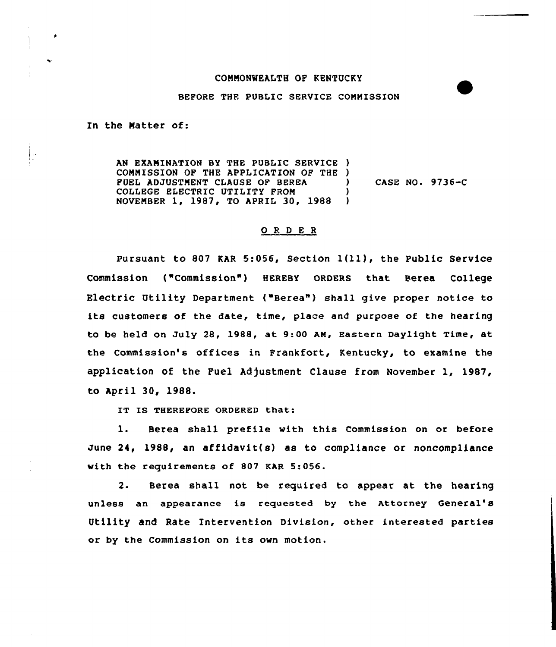## CONNONWEALTH OP KENTUCKY

## BEFORE THF. PUBLIC SERVICE CONNISSION

In the Natter of:

AN EXANINATIQN BY THE PUBLIC SERVICE ) COMMISSION OF THE APPLICATION OF THE )<br>FUEL ADJUSTMENT CLAUSE OF BEREA PUEL ADJUSTMENT CLAUSE OF BEREA COLLEGE ELECTRIC UTILITY FROM (1988) NOVENBER 1, 1987, TO APRIL 30, 1988 ) CASE NO. 9736-C

## ORDER

pursuant to <sup>807</sup> KAR 5:056, Section 1(ll), the Public Service Commission ("Commission") HEREBY ORDERS that Berea College Electric Utility Department ("Berea") shall give proper notice to its customers of the date, time, place and purpose of the hearing to be held on July 28, 1988, at 9:00 AM, Eastern Daylight Time, at the Commission's offices in Frankfort, Kentucky, to examine the application of the Fuel Adjustment Clause from November 1, 1987, to April 30, 1988.

IT IS THEREFORE ORDERED that:

l. Berea shall prefile with this Commission on or before June 24, 1988, an affidavit(s) as to compliance or noncompliance with the requirements of 807 KAR 5:056.

2. Berea shall not be required to appear at the hearing unless an appearance is requested by the Attorney General's Utility and Rate Intervention Division, other interested parties or by the Commission on its own motion.